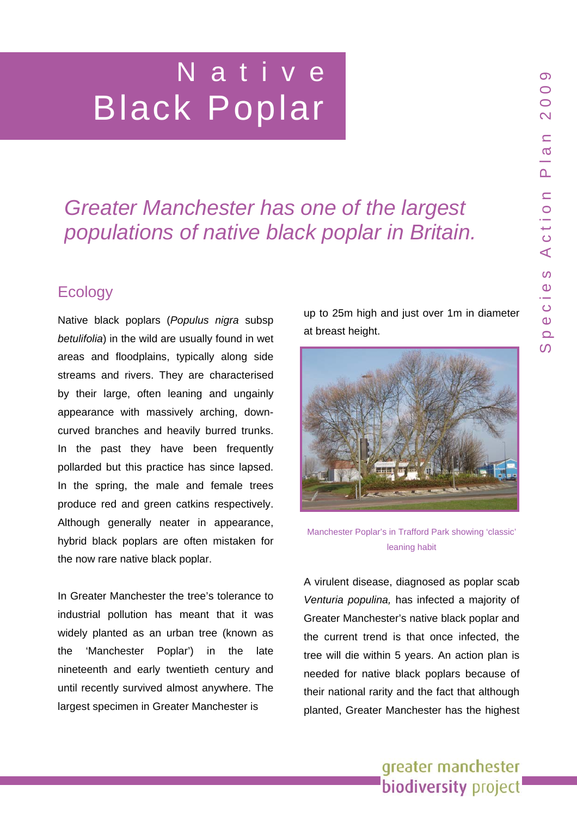# Native Black Poplar

# *Greater Manchester has one of the largest populations of native black poplar in Britain.*

# **Ecology**

Native black poplars (*Populus nigra* subsp *betulifolia*) in the wild are usually found in wet areas and floodplains, typically along side streams and rivers. They are characterised by their large, often leaning and ungainly appearance with massively arching, downcurved branches and heavily burred trunks. In the past they have been frequently pollarded but this practice has since lapsed. In the spring, the male and female trees produce red and green catkins respectively. Although generally neater in appearance, hybrid black poplars are often mistaken for the now rare native black poplar.

In Greater Manchester the tree's tolerance to industrial pollution has meant that it was widely planted as an urban tree (known as the 'Manchester Poplar') in the late nineteenth and early twentieth century and until recently survived almost anywhere. The largest specimen in Greater Manchester is

up to 25m high and just over 1m in diameter at breast height.



Manchester Poplar's in Trafford Park showing 'classic' leaning habit

A virulent disease, diagnosed as poplar scab *Venturia populina,* has infected a majority of Greater Manchester's native black poplar and the current trend is that once infected, the tree will die within 5 years. An action plan is needed for native black poplars because of their national rarity and the fact that although planted, Greater Manchester has the highest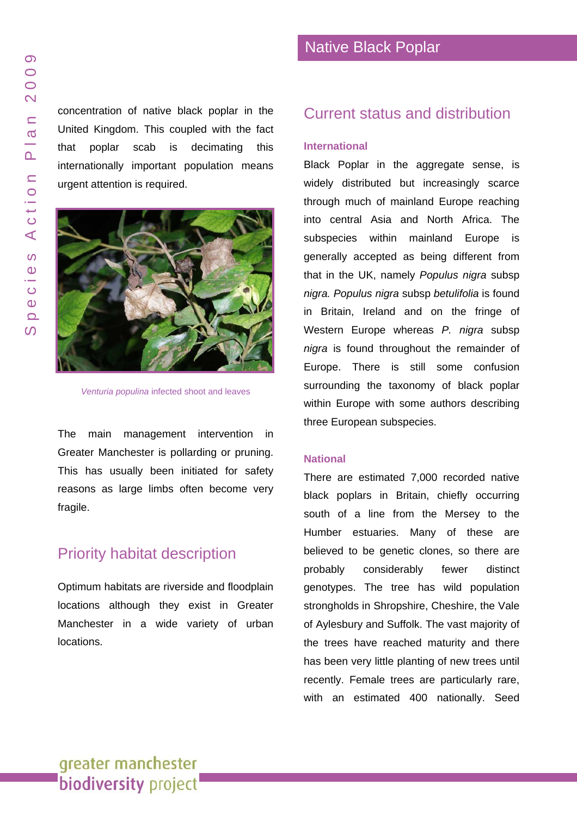concentratio n of native black poplar in the United Kingdom. This coupled wit h the fact that poplar scab is decimating this internationally important population means urgent atten tion is required.



Venturia populina infected shoot and leaves

The main management intervention in Greater Manchester is pollarding o r pruning. This has usually been initiated for safety reasons as large limb s often become very fragile.

## Priority habitat description

Optimum habitats are riv erside and f loodplain locations although they exist in Greater Manchester in a wide variety of urban locations.

### Current status and distribution

#### **International**

Black Poplar in the aggregate sense, is widely distributed but increasingly scarce through much of mainland Europe reaching into central Asia and North Africa. Th e subspecies within mainland Europe is generally accepted a s being different from that in the UK, namely *Populus nigra* subsp *nigra. Populus nigra* sub sp *betulifolia* is found in Britain, Ireland and on the fringe of Western Europe whereas *P. nigra* subsp *nigra* is found throughout the remainder of Europe. There is still some confusion surrounding the taxonomy of black poplar within Europe with some authors describing three European subspecies.

#### **National**

There are estimated 7 ,000 recorded native black popla rs in Britain, chiefly occurring south of a line from the Mersey to the Humber e stuaries. Many of these are believed to be genetic clones, so there are probably considerably fewer distinct genotypes. The tree has wild population strongholds in Shropshir e, Cheshire, the Vale of Aylesbury and Suffolk. The vast majority of the trees h ave reached maturity and there has been very little planting of new trees until recently. Female trees are particularly rare, with an e stimated 400 nationally. Seed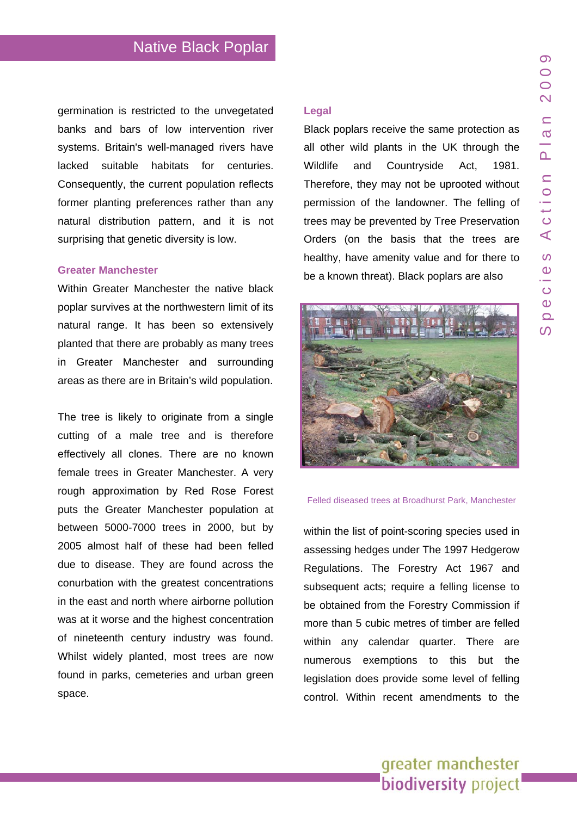germination is restricted to the unvegetated banks and bars of low intervention river systems. Britain's well-managed rivers have lacked suitable habitats for centuries. Consequently, the current population reflects former planting preferences rather than any natural distribution pattern, and it is not surprising that genetic diversity is low.

#### **Greater Manchester**

Within Greater Manchester the native black poplar survives at the northwestern limit of its natural range. It has been so extensively planted that there are probably as many trees in Greater Manchester and surrounding areas as there are in Britain's wild population.

The tree is likely to originate from a single cutting of a male tree and is therefore effectively all clones. There are no known female trees in Greater Manchester. A very rough approximation by Red Rose Forest puts the Greater Manchester population at between 5000-7000 trees in 2000, but by 2005 almost half of these had been felled due to disease. They are found across the conurbation with the greatest concentrations in the east and north where airborne pollution was at it worse and the highest concentration of nineteenth century industry was found. Whilst widely planted, most trees are now found in parks, cemeteries and urban green space.

#### **Legal**

Black poplars receive the same protection as all other wild plants in the UK through the Wildlife and Countryside Act, 1981. Therefore, they may not be uprooted without permission of the landowner. The felling of trees may be prevented by Tree Preservation Orders (on the basis that the trees are healthy, have amenity value and for there to be a known threat). Black poplars are also



#### Felled diseased trees at Broadhurst Park, Manchester

within the list of point-scoring species used in assessing hedges under The 1997 Hedgerow Regulations. The Forestry Act 1967 and subsequent acts; require a felling license to be obtained from the Forestry Commission if more than 5 cubic metres of timber are felled within any calendar quarter. There are numerous exemptions to this but the legislation does provide some level of felling control. Within recent amendments to the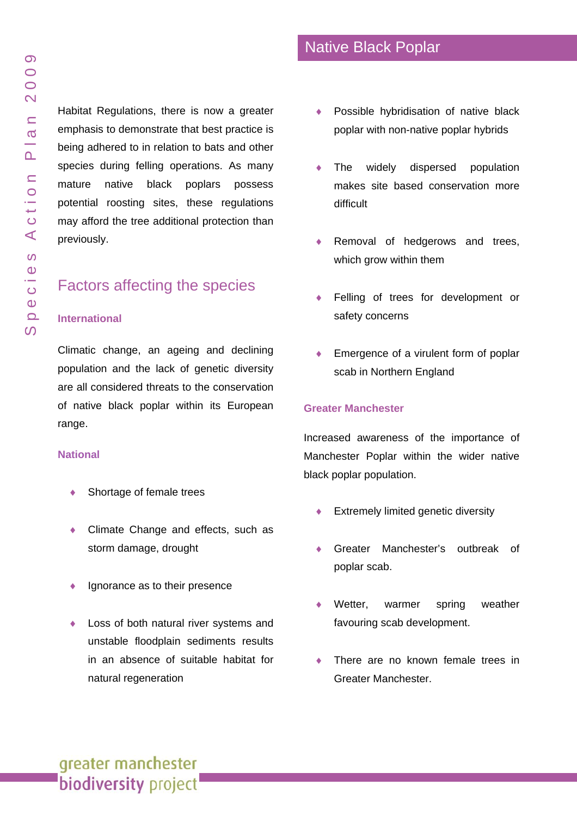Habitat Regulations, there is now a greater emphasis to demonstrate that best practice is being adhered to in relation to bats and other species during felling operations. As many mature native black poplars possess potential roosting sites, these regulation s may afford the tree additional protection than reviously.

# actors affecting the species pr<br>F

#### **lnternational**

of native black poplar within its European range. Climatic change, an ageing and declining population and the lack of genetic diversity are all considered threats to the conservation

#### **National**

- Shortage of female trees
- Climate Change and effects, such as storm damage, drought
- ◆ Ignorance as to their presence
- ♦ Loss of both natural river systems and in an absence of suitable habitat for natural regeneration unstable f l oodplain sed iments results
- ♦ Possible hybridisation of native black poplar with non-native poplar hybrids
- ♦ makes site based conservation more difficult The widely dispersed t i o n
- ♦ Removal of hedgerows and trees, which grow within them
- ♦ Felling of trees for development or safety concerns
- ♦ Emergence of a virulent form of poplar scab in Northern England

#### **Greater Manchester**

Manchester Poplar within the wider native black poplar population. Increased a wareness o f the importance of

- ♦ Extre mely limited genetic diversity
- ♦ Greater Manchester's outbreak of poplar scab.
- ♦ weather favouring scab development. Wetter, warmer spring
- ♦ There are no known female trees in Greater Manchester.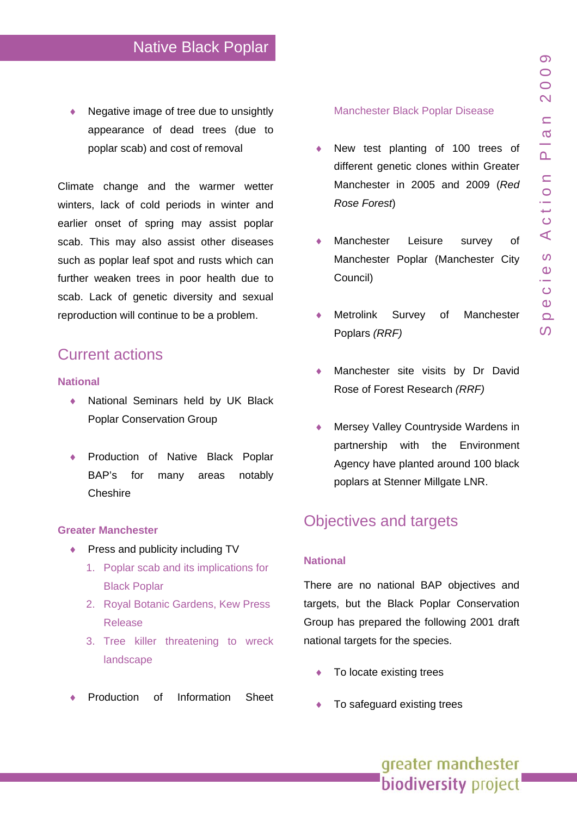♦ Negative image of tree due to unsightly appearance of dead trees (due to poplar scab) and cost of removal

scab. Lack of genetic diversity and sexual reproduction will continue to be a problem. Climate change and the warmer wetter winters, lack of cold periods in winter and earlier onset of spring may assist poplar scab. This may also assist other diseases such as poplar leaf spot and rusts which can further weaken trees in poor health due to

# **Current actions**

#### **N ational**

- National Seminars held by UK Black Poplar Conservation Group
- ♦ Production of Native Black Poplar many areas notably Cheshire BAP's fo

#### **G t rea er Manchester**

- ◆ Press and publicity including TV
	- 1. Poplar scab a[nd](http://www.woodland-trust.org.uk/ancient-tree-forum/atfnews/images/poplarscabpressversion.doc) its implications for Black Poplar
	- 2. Royal Botanic Gardens, Kew Press Release
	- 3. Tree killer threatening to wreck landscape
- Production of Information Sheet

#### [Manchester Black Poplar Disease](http://www.redroseforest.co.uk/publications/pdf/poplar1.pdf)

- ♦ 2005 and 2009 (*Red*  Manchester in *Rose Forest*) New test planting of 100 trees of different genetic clones within Greater
- ♦ Manchester Poplar (Manchester City Council) Manchester Leisure survey of
- Survey of Manchester Poplars *(RRF)*  Metrolink
- Manchester site visits by Dr David Rose of Forest Research *(RRF)*
- ♦ Agency have planted around 100 black poplars at Stenner Millgate LNR. Mersey Valley Countryside Wardens in partnership with the Environment

# Objectives and targets

#### **National**

Group has prepared the following 2001 draft national targets for the species. There are no national BAP objectives and targets, but the Black Poplar Conservation

- To locate existing trees
- To safeguard existing trees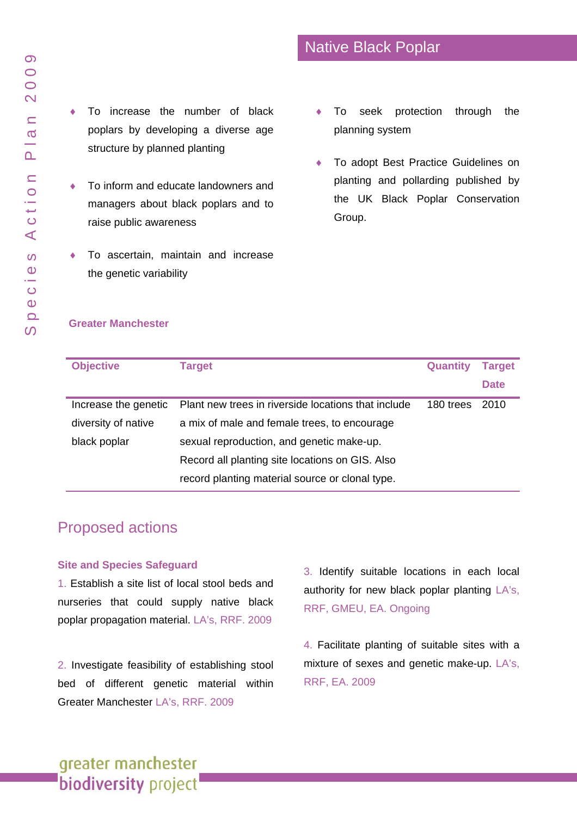- ♦ managers about black poplars and to raise public awareness To inform and educate landowners and
- $\bullet$  To ascertain, maintain and increase the genetic variability
- To seek protection through the planning system
- ♦ To adopt Best Practice Guidelines on planting and pollarding published by the UK Black Poplar Conservation Group.

#### **Greater Manchester**

| <b>Objective</b>     | <b>Target</b>                                       | <b>Quantity</b> | <b>Target</b> |
|----------------------|-----------------------------------------------------|-----------------|---------------|
|                      |                                                     |                 | <b>Date</b>   |
| Increase the genetic | Plant new trees in riverside locations that include | 180 trees       | 2010          |
| diversity of native  | a mix of male and female trees, to encourage        |                 |               |
| black poplar         | sexual reproduction, and genetic make-up.           |                 |               |
|                      | Record all planting site locations on GIS. Also     |                 |               |
|                      | record planting material source or clonal type.     |                 |               |

# **Proposed actions**

#### **Site and Species Safeguard**

poplar propagation material. LA's, RRF. 2009 1. Establish a site list of local stool beds and nurseries that could supply native black

Greater Ma nchester LA's, RRF. 2009 2. Investigate feasibility of establishing stool bed of different genetic material within

3. Identify suitable locations in each local authority for new black poplar planting LA's, RRF, GMEU, EA. Ongoing

4. Facilitate planting of suitable sites with a mixture of sexes and genetic make-up. LA's, RRF, EA. 2009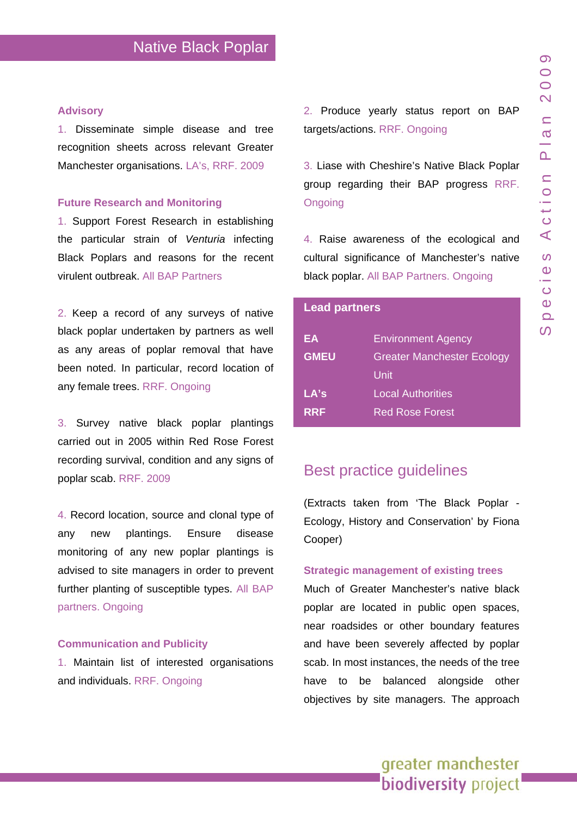#### **Advisory**

1. Disseminate simple disease and tree recognition sheets across relevant Greater Manchester organisations. LA's, RRF. 2009

#### **Future Research and Monitoring**

1. Support Forest Research in establishing the particular strain of *Venturia* infecting Black Poplars and reasons for the recent virulent outbreak. All BAP Partners

2. Keep a record of any surveys of native black poplar undertaken by partners as well as any areas of poplar removal that have been noted. In particular, record location of any female trees. RRF. Ongoing

3. Survey native black poplar plantings carried out in 2005 within Red Rose Forest recording survival, condition and any signs of poplar scab. RRF. 2009

4. Record location, source and clonal type of any new plantings. Ensure disease monitoring of any new poplar plantings is advised to site managers in order to prevent further planting of susceptible types. All BAP partners. Ongoing

#### **Communication and Publicity**

1. Maintain list of interested organisations and individuals. RRF. Ongoing

2. Produce yearly status report on BAP targets/actions. RRF. Ongoing

3. Liase with Cheshire's Native Black Poplar group regarding their BAP progress RRF. **Ongoing** 

4. Raise awareness of the ecological and cultural significance of Manchester's native black poplar. All BAP Partners. Ongoing

#### **Lead partners**

| EA          | <b>Environment Agency</b>         |
|-------------|-----------------------------------|
| <b>GMEU</b> | <b>Greater Manchester Ecology</b> |
|             | Unit                              |
| LA's        | Local Authorities                 |
| <b>RRF</b>  | <b>Red Rose Forest</b>            |

## Best practice guidelines

(Extracts taken from 'The Black Poplar - Ecology, History and Conservation' by Fiona Cooper)

#### **Strategic management of existing trees**

Much of Greater Manchester's native black poplar are located in public open spaces, near roadsides or other boundary features and have been severely affected by poplar scab. In most instances, the needs of the tree have to be balanced alongside other objectives by site managers. The approach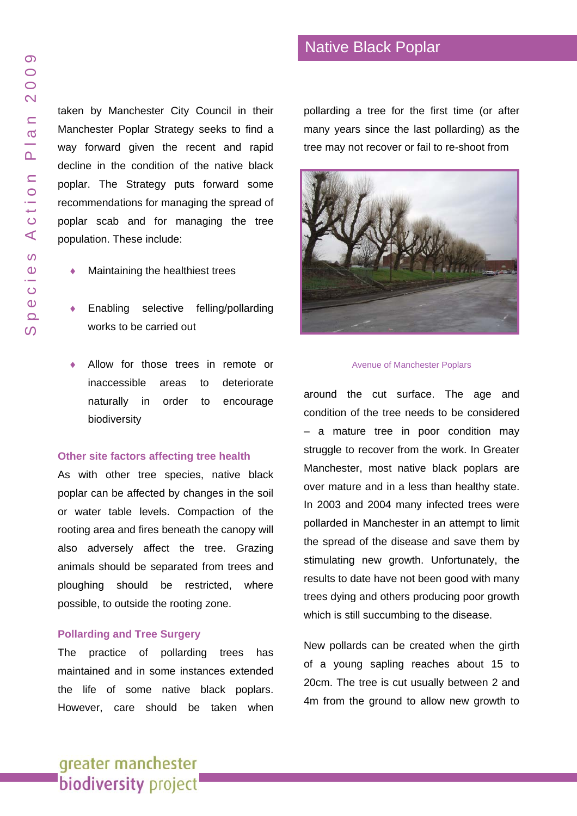## Native Black Poplar

taken by Manchester City Council in their Manchester Poplar Strategy seeks to find a way forward given the recent and rapid decline in the conditio n of the native black poplar. The Strategy puts forward some recommendations for managing the spread of poplar sca b and for managing the tree population. These include:

- Maintaining the healthiest trees
- ♦ Enabling selective felling/pollarding works to be carried out
- Allow for those trees in remote or inaccessible areas t o deterior ate naturally in order to encourage biodiversity

#### **Other site factors affecting tree health**

As with other tree species, native black poplar can be affected by changes in the soil or water table levels. Compactio n of the rooting area and fires beneath the canopy will also adversely affect the tree. Grazing animals sho uld be separated from trees and ploughing should be restricted, where possible, to outside the rooting zone.

#### **Pollarding and Tree Surgery**

The practice of pollarding trees has maintained and in some instances extended the life of some native black poplars. However, care should be taken when pollarding a tree for the first time (or after many years since the last pollarding) as th e tree may not recover or fail to re-shoot from



#### Avenue of Man chester Pop lar s

around the cut surface. The age and condition of the tree needs to be considered – a mature tree in poor condit ion may struggle to recover from the work. I n Greater Manchester, most native black poplars are over mature and in a less than healthy state. In 2003 and 2004 many infected tre es were pollarded in Manchester in an attempt to limit the spread of the disea se and sav e them by stimulating new growth. Unfortunately, the results to date have not been good with many trees dying and others producing poor growth which is still succumbing to the disease.

New pollards can be created when the girth of a young sapling reaches about 15 to 20cm. The tree is cut u sually between 2 and 4m fro m the ground to allow new growth to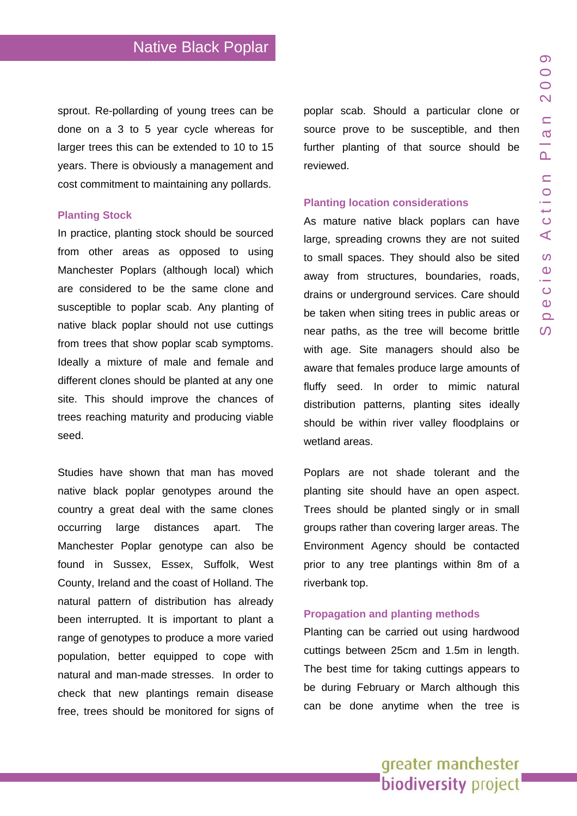sprout. Re-pollarding of young trees can be done on a 3 to 5 year cycle whereas for larger trees this can be extended to 10 to 15 years. There is obviously a management and cost commitment to maintaining any pollards.

#### **Planting Stock**

In practice, planting stock should be sourced from other areas as opposed to using Manchester Poplars (although local) which are considered to be the same clone and susceptible to poplar scab. Any planting of native black poplar should not use cuttings from trees that show poplar scab symptoms. Ideally a mixture of male and female and different clones should be planted at any one site. This should improve the chances of trees reaching maturity and producing viable seed.

Studies have shown that man has moved native black poplar genotypes around the country a great deal with the same clones occurring large distances apart. The Manchester Poplar genotype can also be found in Sussex, Essex, Suffolk, West County, Ireland and the coast of Holland. The natural pattern of distribution has already been interrupted. It is important to plant a range of genotypes to produce a more varied population, better equipped to cope with natural and man-made stresses. In order to check that new plantings remain disease free, trees should be monitored for signs of poplar scab. Should a particular clone or source prove to be susceptible, and then further planting of that source should be reviewed.

#### **Planting location considerations**

As mature native black poplars can have large, spreading crowns they are not suited to small spaces. They should also be sited away from structures, boundaries, roads, drains or underground services. Care should be taken when siting trees in public areas or near paths, as the tree will become brittle with age. Site managers should also be aware that females produce large amounts of fluffy seed. In order to mimic natural distribution patterns, planting sites ideally should be within river valley floodplains or wetland areas.

Poplars are not shade tolerant and the planting site should have an open aspect. Trees should be planted singly or in small groups rather than covering larger areas. The Environment Agency should be contacted prior to any tree plantings within 8m of a riverbank top.

#### **Propagation and planting methods**

Planting can be carried out using hardwood cuttings between 25cm and 1.5m in length. The best time for taking cuttings appears to be during February or March although this can be done anytime when the tree is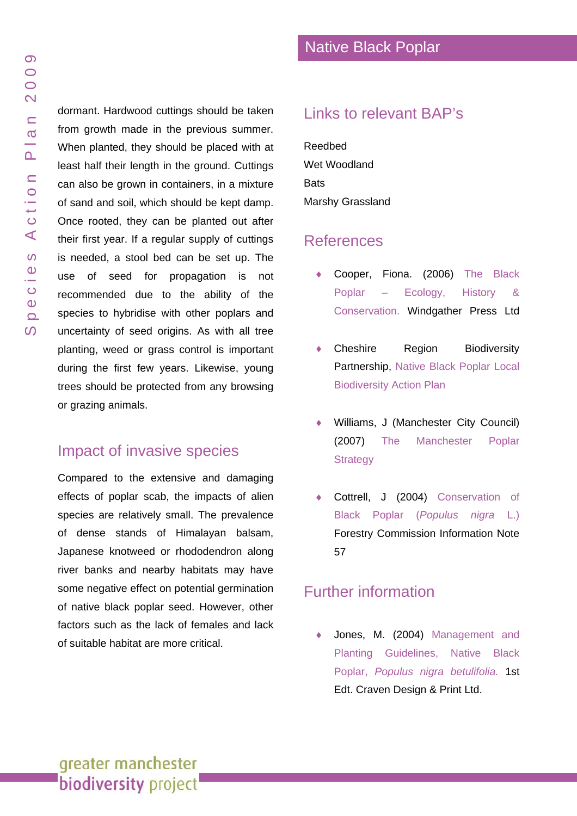dormant. Hardwood cuttings should be taken from growth made in the previous summer. When planted, they should be pla ced with at least half their length in the ground. Cuttings can also be grown in containers, in a mixture of sand and soil, which should be kept damp. Once rooted, they can be planted out after their first year. If a regular supply of cuttings is needed, a stool bed can be set up. The use of seed for propagation is not recommended due to the abilit y of the species to hybridise with other poplars and uncertainty of seed origins. As wit h all tree planting, weed or grass control is important during the f irst few years. Likewise, young trees should be protected from any browsing or grazing a nimals.

# Impact of invasive species

Compared t o the extensive and damaging effects o f poplar scab, the impact s of alien species are relatively s mall. The p revalence of dense stands of Himalayan balsam, Japanese knotweed or rhododendron along river banks and nearb y habitats may have some negative effect on potential germination of native black poplar seed. However, other factors such as the lack of females and lack of suitable habitat are more critica l.

# Links to relevant BAP's

[Reedbed](www.gmbp.org.uk/site/images/stories/reedbeds bap_09.pdf)  [Wet Woodland](www.gmbp.org.uk/site/images/stories/native woodland bap_09.pdf)  **Bats** [Marshy Grassland](www.gmbp.org.uk/site/images/stories/grasslands bap_09.pdf)

## **References**

- Cooper, Fiona. (2006) The Black Poplar – Ecology, History & Conservation. Windgather Press Ltd
- Cheshire Region Biodiversity Partnership, [Native Black Poplar Local](http://www.cheshire-biodiversity.org.uk/action-plans/listing.php?id=62)  [Biodiversity Action Plan](http://www.cheshire-biodiversity.org.uk/action-plans/listing.php?id=62)
- Williams, J (Manchester City Council) (2007) The Manchester Poplar **Strategy**
- Cottrell, J (2004) Conservation of [Black Poplar \(](http://www.forestresearch.gov.uk/pdf/fcin057.pdf/$FILE/fcin057.pdf)*Populus nigra* L.) Forestry Commission Information Note 57

# Further information

Jones, M. (2004) Management and Planting Guidelines, Native Black Poplar, *Populus nigra betulifolia.* 1st Edt. Craven Design & Print Ltd.